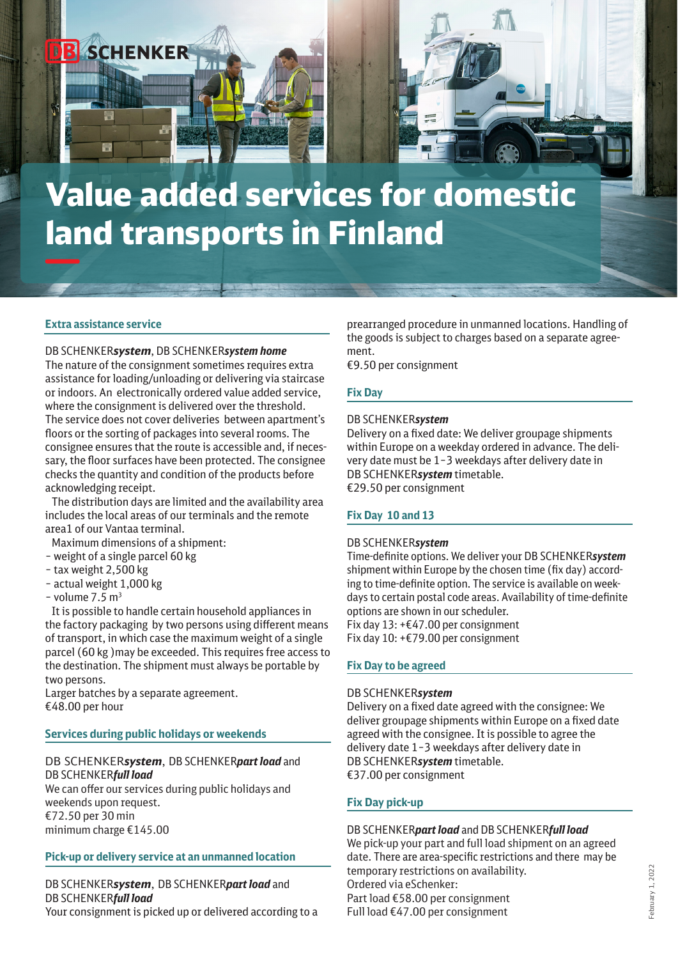

#### **Extra assistance service**

### DB SCHENKER*system*, DB SCHENKER*system home*

The nature of the consignment sometimes requires extra assistance for loading/unloading or delivering via staircase or indoors. An electronically ordered value added service, where the consignment is delivered over the threshold. The service does not cover deliveries between apartment's floors or the sorting of packages into several rooms. The consignee ensures that the route is accessible and, if necessary, the floor surfaces have been protected. The consignee checks the quantity and condition of the products before acknowledging receipt.

 The distribution days are limited and the availability area includes the local areas of our terminals and the remote area1 of our Vantaa terminal.

- Maximum dimensions of a shipment:
- weight of a single parcel 60 kg
- tax weight 2,500 kg
- actual weight 1,000 kg
- volume  $7.5 \text{ m}^3$

 It is possible to handle certain household appliances in the factory packaging by two persons using different means of transport, in which case the maximum weight of a single parcel (60 kg )may be exceeded. This requires free access to the destination. The shipment must always be portable by two persons.

Larger batches by a separate agreement. €48.00 per hour

#### **Services during public holidays or weekends**

### DB SCHENKER*system*, DB SCHENKER*part load* and DB SCHENKER*full load*

We can offer our services during public holidays and weekends upon request. €72.50 per 30 min minimum charge €145.00

### **Pick-up or delivery service at an unmanned location**

### DB SCHENKER*system*, DB SCHENKER*part load* and DB SCHENKER*full load*  Your consignment is picked up or delivered according to a

prearranged procedure in unmanned locations. Handling of the goods is subject to charges based on a separate agreement.

€9.50 per consignment

### **Fix Day**

#### DB SCHENKER*system*

Delivery on a fixed date: We deliver groupage shipments within Europe on a weekday ordered in advance. The delivery date must be 1–3 weekdays after delivery date in DB SCHENKER*system* timetable. €29.50 per consignment

### **Fix Day 10 and 13**

#### DB SCHENKER*system*

Time-definite options. We deliver your DB SCHENKER*system*  shipment within Europe by the chosen time (fix day) according to time-definite option. The service is available on weekdays to certain postal code areas. Availability of time-definite options are shown in our scheduler. Fix day 13: +€47.00 per consignment Fix day 10: +€79.00 per consignment

#### **Fix Day to be agreed**

#### DB SCHENKER*system*

Delivery on a fixed date agreed with the consignee: We deliver groupage shipments within Europe on a fixed date agreed with the consignee. It is possible to agree the delivery date 1–3 weekdays after delivery date in DB SCHENKER*system* timetable. €37.00 per consignment

#### **Fix Day pick-up**

#### DB SCHENKER*part load* and DB SCHENKER*full load*

We pick-up your part and full load shipment on an agreed date. There are area-specific restrictions and there may be temporary restrictions on availability. Ordered via eSchenker: Part load €58.00 per consignment Full load €47.00 per consignment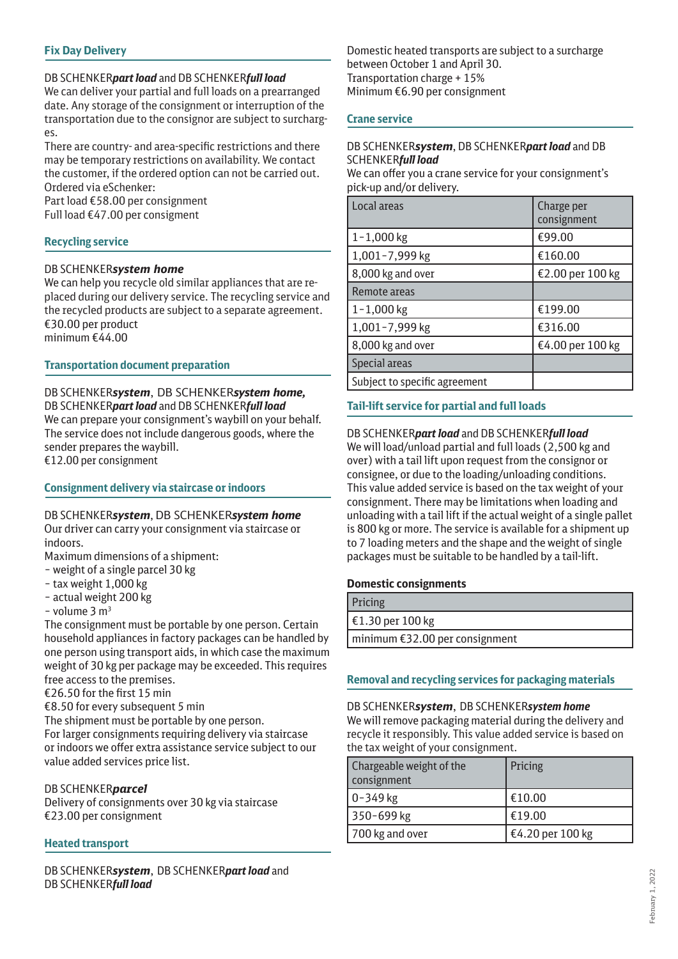# **Fix Day Delivery**

## DB SCHENKER*part load* and DB SCHENKER*full load*

We can deliver your partial and full loads on a prearranged date. Any storage of the consignment or interruption of the transportation due to the consignor are subject to surcharges.

There are country- and area-specific restrictions and there may be temporary restrictions on availability. We contact the customer, if the ordered option can not be carried out. Ordered via eSchenker:

Part load €58.00 per consignment Full load €47.00 per consigment

## **Recycling service**

### DB SCHENKER*system home*

We can help you recycle old similar appliances that are replaced during our delivery service. The recycling service and the recycled products are subject to a separate agreement. €30.00 per product minimum €44.00

## **Transportation document preparation**

DB SCHENKER*system*, DB SCHENKER*system home,* DB SCHENKER*part load* and DB SCHENKER*full load*  We can prepare your consignment's waybill on your behalf. The service does not include dangerous goods, where the sender prepares the waybill. €12.00 per consignment

### **Consignment delivery via staircase or indoors**

DB SCHENKER*system*, DB SCHENKER*system home* Our driver can carry your consignment via staircase or indoors.

Maximum dimensions of a shipment:

- weight of a single parcel 30 kg
- tax weight 1,000 kg
- actual weight 200 kg
- $-$  volume  $3 \text{ m}^3$

The consignment must be portable by one person. Certain household appliances in factory packages can be handled by one person using transport aids, in which case the maximum weight of 30 kg per package may be exceeded. This requires free access to the premises.

€26.50 for the first 15 min

€8.50 for every subsequent 5 min

The shipment must be portable by one person.

For larger consignments requiring delivery via staircase or indoors we offer extra assistance service subject to our value added services price list.

### DB SCHENKER*parcel*

Delivery of consignments over 30 kg via staircase €23.00 per consignment

# **Heated transport**

DB SCHENKER*system*, DB SCHENKER*part load* and DB SCHENKER*full load* 

Domestic heated transports are subject to a surcharge between October 1 and April 30. Transportation charge + 15% Minimum €6.90 per consignment

### **Crane service**

### DB SCHENKER*system*, DB SCHENKER*part load* and DB SCHENKER*full load*

We can offer you a crane service for your consignment's pick-up and/or delivery.

| Local areas                   | Charge per<br>consignment |
|-------------------------------|---------------------------|
| $1 - 1,000$ kg                | €99.00                    |
| 1,001-7,999 kg                | €160.00                   |
| 8,000 kg and over             | €2.00 per 100 kg          |
| Remote areas                  |                           |
| $1 - 1,000$ kg                | €199.00                   |
| 1,001-7,999 kg                | €316.00                   |
| 8,000 kg and over             | €4.00 per 100 kg          |
| Special areas                 |                           |
| Subject to specific agreement |                           |

# **Tail-lift service for partial and full loads**

DB SCHENKER*part load* and DB SCHENKER*full load*  We will load/unload partial and full loads (2,500 kg and over) with a tail lift upon request from the consignor or consignee, or due to the loading/unloading conditions. This value added service is based on the tax weight of your consignment. There may be limitations when loading and unloading with a tail lift if the actual weight of a single pallet is 800 kg or more. The service is available for a shipment up to 7 loading meters and the shape and the weight of single packages must be suitable to be handled by a tail-lift.

### **Domestic consignments**

| Pricing                        |
|--------------------------------|
| €1.30 per 100 kg               |
| minimum €32.00 per consignment |
|                                |

### **Removal and recycling services for packaging materials**

DB SCHENKER*system*, DB SCHENKER*system home*  We will remove packaging material during the delivery and recycle it responsibly. This value added service is based on the tax weight of your consignment.

| Chargeable weight of the<br>consignment | Pricing          |
|-----------------------------------------|------------------|
| $ 0-349$ kg                             | €10.00           |
| 350-699 kg                              | €19.00           |
| 700 kg and over                         | €4.20 per 100 kg |